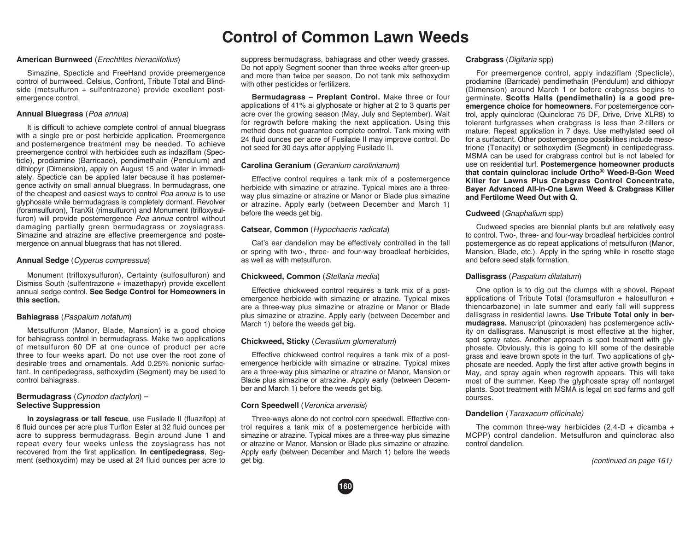# **Control of Common Lawn Weeds**

## **American Burnweed** (*Erechtites hieraciifolius*)

 Simazine, Specticle and FreeHand provide preemergence control of burnweed. Celsius, Confront, Tribute Total and Blindside (metsulfuron + sulfentrazone) provide excellent postemergence control.

## **Annual Bluegrass** (*Poa annua*)

 It is difficult to achieve complete control of annual bluegrass with a single pre or post herbicide application. Preemergence and postemergence treatment may be needed. To achieve preemergence control with herbicides such as indaziflam (Specticle), prodiamine (Barricade), pendimethalin (Pendulum) and dithiopyr (Dimension), apply on August 15 and water in immediately. Specticle can be applied later because it has postemergence activity on small annual bluegrass. In bermudagrass, one of the cheapest and easiest ways to control *Poa annua* is to use glyphosate while bermudagrass is completely dormant. Revolver (foramsulfuron), TranXit (rimsulfuron) and Monument (trifloxysulfuron) will provide postemergence *Poa annua* control without damaging partially green bermudagrass or zoysiagrass. Simazine and atrazine are effective preemergence and postemergence on annual bluegrass that has not tillered.

# **Annual Sedge** (*Cyperus compressus*)

 Monument (trifloxysulfuron), Certainty (sulfosulfuron) and Dismiss South (sulfentrazone + imazethapyr) provide excellent annual sedge control. **See Sedge Control for Homeowners in this section.**

# **Bahiagrass** (*Paspalum notatum*)

 Metsulfuron (Manor, Blade, Mansion) is a good choice for bahiagrass control in bermudagrass. Make two applications of metsulfuron 60 DF at one ounce of product per acre three to four weeks apart. Do not use over the root zone of desirable trees and ornamentals. Add 0.25% nonionic surfactant. In centipedegrass, sethoxydim (Segment) may be used to control bahiagrass.

# **Bermudagrass** (*Cynodon dactylon*) **– Selective Suppression**

**In zoysiagrass or tall fescue**, use Fusilade II (fluazifop) at 6 fluid ounces per acre plus Turflon Ester at 32 fluid ounces per acre to suppress bermudagrass. Begin around June 1 and repeat every four weeks unless the zoysiagrass has not recovered from the first application. **In centipedegrass**, Segment (sethoxydim) may be used at 24 fluid ounces per acre to

suppress bermudagrass, bahiagrass and other weedy grasses. Do not apply Segment sooner than three weeks after green-up and more than twice per season. Do not tank mix sethoxydim with other pesticides or fertilizers.

 **Bermudagrass – Preplant Control.** Make three or four applications of 41% ai glyphosate or higher at 2 to 3 quarts per acre over the growing season (May, July and September). Wait for regrowth before making the next application. Using this method does not guarantee complete control. Tank mixing with 24 fluid ounces per acre of Fusilade II may improve control. Do not seed for 30 days after applying Fusilade II.

# **Carolina Geranium** (*Geranium carolinianum*)

 Effective control requires a tank mix of a postemergence herbicide with simazine or atrazine. Typical mixes are a threeway plus simazine or atrazine or Manor or Blade plus simazine or atrazine. Apply early (between December and March 1) before the weeds get big.

# **Catsear, Common** (*Hypochaeris radicata*)

 Cat's ear dandelion may be effectively controlled in the fall or spring with two-, three- and four-way broadleaf herbicides, as well as with metsulfuron.

# **Chickweed, Common** (*Stellaria media*)

 Effective chickweed control requires a tank mix of a postemergence herbicide with simazine or atrazine. Typical mixes are a three-way plus simazine or atrazine or Manor or Blade plus simazine or atrazine. Apply early (between December and March 1) before the weeds get big.

# **Chickweed, Sticky** (*Cerastium glomeratum*)

 Effective chickweed control requires a tank mix of a postemergence herbicide with simazine or atrazine. Typical mixes are a three-way plus simazine or atrazine or Manor, Mansion or Blade plus simazine or atrazine. Apply early (between December and March 1) before the weeds get big.

# **Corn Speedwell** (*Veronica arvensis*)

Three-ways alone do not control corn speedwell. Effective control requires a tank mix of a postemergence herbicide with simazine or atrazine. Typical mixes are a three-way plus simazine or atrazine or Manor, Mansion or Blade plus simazine or atrazine. Apply early (between December and March 1) before the weeds get big.



# **Crabgrass** (*Digitaria* spp)

 For preemergence control, apply indaziflam (Specticle), prodiamine (Barricade) pendimethalin (Pendulum) and dithiopyr (Dimension) around March 1 or before crabgrass begins to germinate. **Scotts Halts (pendimethalin) is a good preemergence choice for homeowners.** For postemergence control, apply quinclorac (Quinclorac 75 DF, Drive, Drive XLR8) to tolerant turfgrasses when crabgrass is less than 2-tillers or mature. Repeat application in 7 days. Use methylated seed oil for a surfactant. Other postemergence possibilities include mesotrione (Tenacity) or sethoxydim (Segment) in centipedegrass. MSMA can be used for crabgrass control but is not labeled for use on residential turf. Postemergence homeowner products **that contain quinclorac include Ortho® Weed-B-Gon Weed Killer for Lawns Plus Crabgrass Control Concentrate, Bayer Advanced All-In-One Lawn Weed & Crabgrass Killer and Fertilome Weed Out with Q.** 

# **Cudweed** (*Gnaphalium* spp)

 Cudweed species are biennial plants but are relatively easy to control. Two-, three- and four-way broadleaf herbicides control postemergence as do repeat applications of metsulfuron (Manor, Mansion, Blade, etc.). Apply in the spring while in rosette stage and before seed stalk formation.

# **Dallisgrass** (*Paspalum dilatatum*)

 One option is to dig out the clumps with a shovel. Repeat applications of Tribute Total (foramsulfuron + halosulfuron + thiencarbazone) in late summer and early fall will suppress dallisgrass in residential lawns. **Use Tribute Total only in bermudagrass.** Manuscript (pinoxaden) has postemergence activity on dallisgrass. Manuscript is most effective at the higher, spot spray rates. Another approach is spot treatment with glyphosate. Obviously, this is going to kill some of the desirable grass and leave brown spots in the turf. Two applications of glyphosate are needed. Apply the first after active growth begins in May, and spray again when regrowth appears. This will take most of the summer. Keep the glyphosate spray off nontarget plants. Spot treatment with MSMA is legal on sod farms and golf courses.

## **Dandelion** (*Taraxacum officinale)*

The common three-way herbicides  $(2,4-D + dicamba +$ MCPP) control dandelion. Metsulfuron and quinclorac also control dandelion.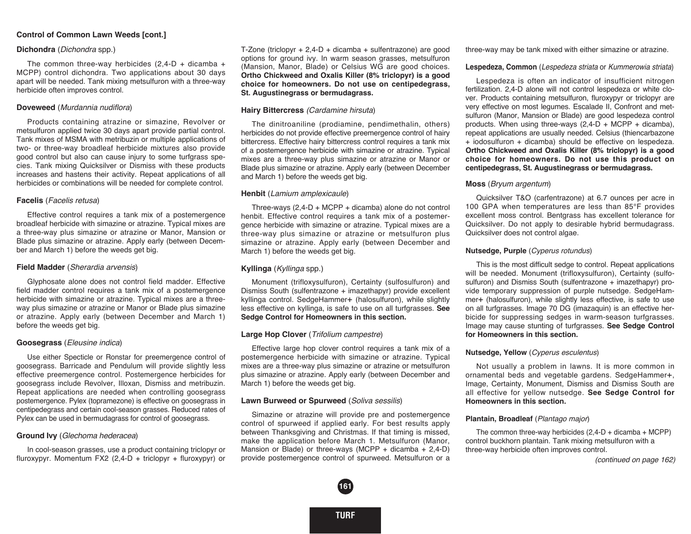## **Control of Common Lawn Weeds [cont.]**

## **Dichondra** (*Dichondra* spp.)

The common three-way herbicides  $(2,4-D + dicamba +$ MCPP) control dichondra. Two applications about 30 days apart will be needed. Tank mixing metsulfuron with a three-way herbicide often improves control.

## **Doveweed** (*Murdannia nudiflora*)

 Products containing atrazine or simazine, Revolver or metsulfuron applied twice 30 days apart provide partial control. Tank mixes of MSMA with metribuzin or multiple applications of two- or three-way broadleaf herbicide mixtures also provide good control but also can cause injury to some turfgrass species. Tank mixing Quicksilver or Dismiss with these products increases and hastens their activity. Repeat applications of all herbicides or combinations will be needed for complete control.

## **Facelis** (*Facelis retusa*)

 Effective control requires a tank mix of a postemergence broadleaf herbicide with simazine or atrazine. Typical mixes are a three-way plus simazine or atrazine or Manor, Mansion or Blade plus simazine or atrazine. Apply early (between December and March 1) before the weeds get big.

## **Field Madder** (*Sherardia arvensis*)

 Glyphosate alone does not control field madder. Effective field madder control requires a tank mix of a postemergence herbicide with simazine or atrazine. Typical mixes are a threeway plus simazine or atrazine or Manor or Blade plus simazine or atrazine. Apply early (between December and March 1) before the weeds get big.

#### **Goosegrass** (*Eleusine indica*)

 Use either Specticle or Ronstar for preemergence control of goosegrass. Barricade and Pendulum will provide slightly less effective preemergence control. Postemergence herbicides for goosegrass include Revolver, Illoxan, Dismiss and metribuzin. Repeat applications are needed when controlling goosegrass postemergence. Pylex (topramezone) is effective on goosegrass in centipedegrass and certain cool-season grasses. Reduced rates of Pylex can be used in bermudagrass for control of goosegrass.

## **Ground Ivy** (*Glechoma hederacea*)

 In cool-season grasses, use a product containing triclopyr or fluroxypyr. Momentum FX2 (2,4-D + triclopyr + fluroxypyr) or T-Zone (triclopyr + 2,4-D + dicamba + sulfentrazone) are good options for ground ivy. In warm season grasses, metsulfuron (Mansion, Manor, Blade) or Celsius WG are good choices. **Ortho Chickweed and Oxalis Killer (8% triclopyr) is a good choice for homeowners. Do not use on centipedegrass, St. Augustinegrass or bermudagrass.**

## **Hairy Bittercress** *(Cardamine hirsuta*)

 The dinitroaniline (prodiamine, pendimethalin, others) herbicides do not provide effective preemergence control of hairy bittercress. Effective hairy bittercress control requires a tank mix of a postemergence herbicide with simazine or atrazine. Typical mixes are a three-way plus simazine or atrazine or Manor or Blade plus simazine or atrazine. Apply early (between December and March 1) before the weeds get big.

## **Henbit** (*Lamium amplexicaule*)

 Three-ways (2,4-D + MCPP + dicamba) alone do not control henbit. Effective control requires a tank mix of a postemergence herbicide with simazine or atrazine. Typical mixes are a three-way plus simazine or atrazine or metsulfuron plus simazine or atrazine. Apply early (between December and March 1) before the weeds get big.

### **Kyllinga** (*Kyllinga* spp.)

 Monument (trifloxysulfuron), Certainty (sulfosulfuron) and Dismiss South (sulfentrazone + imazethapyr) provide excellent kyllinga control. SedgeHammer+ (halosulfuron), while slightly less effective on kyllinga, is safe to use on all turfgrasses. **See Sedge Control for Homeowners in this section.** 

#### **Large Hop Clover** (*Trifolium campestre*)

 Effective large hop clover control requires a tank mix of a postemergence herbicide with simazine or atrazine. Typical mixes are a three-way plus simazine or atrazine or metsulfuron plus simazine or atrazine. Apply early (between December and March 1) before the weeds get big.

## **Lawn Burweed or Spurweed** (*Soliva sessilis*)

 Simazine or atrazine will provide pre and postemergence control of spurweed if applied early. For best results apply between Thanksgiving and Christmas. If that timing is missed, make the application before March 1. Metsulfuron (Manor, Mansion or Blade) or three-ways (MCPP + dicamba +  $2,4$ -D) provide postemergence control of spurweed. Metsulfuron or a



three-way may be tank mixed with either simazine or atrazine.

#### **Lespedeza, Common** (*Lespedeza striata* or *Kummerowia striata*)

 Lespedeza is often an indicator of insufficient nitrogen fertilization. 2,4-D alone will not control lespedeza or white clover. Products containing metsulfuron, fluroxypyr or triclopyr are very effective on most legumes. Escalade II, Confront and metsulfuron (Manor, Mansion or Blade) are good lespedeza control products. When using three-ways  $(2,4-D + MCPP + dicamba)$ , repeat applications are usually needed. Celsius (thiencarbazone + iodo sulfuron + dicamba) should be effective on lespedeza. **Ortho Chickweed and Oxalis Killer (8% triclopyr) is a good choice for homeowners. Do not use this product on centipedegrass, St. Augustinegrass or bermudagrass.**

#### **Moss** (*Bryum argentum*)

 Quicksilver T&O (carfentrazone) at 6.7 ounces per acre in 100 GPA when temperatures are less than 85°F provides excellent moss control. Bentgrass has excellent tolerance for Quicksilver. Do not apply to desirable hybrid bermudagrass. Quicksilver does not control algae.

#### **Nutsedge, Purple** (*Cyperus rotundus*)

 This is the most difficult sedge to control. Repeat applications will be needed. Monument (trifloxysulfuron), Certainty (sulfosulfuron) and Dismiss South (sulfentrazone + imazethapyr) provide temporary suppression of purple nutsedge. SedgeHammer+ (halosulfuron), while slightly less effective, is safe to use on all turfgrasses. Image 70 DG (imazaquin) is an effective herbicide for suppressing sedges in warm-season turfgrasses. Image may cause stunting of turfgrasses. **See Sedge Control for Homeowners in this section.**

### **Nutsedge, Yellow** (*Cyperus esculentus*)

 Not usually a problem in lawns. It is more common in ornamental beds and vegetable gardens. SedgeHammer+, Image, Certainty, Monument, Dismiss and Dismiss South are all effective for yellow nutsedge. **See Sedge Control for Homeowners in this section.**

#### **Plantain, Broadleaf** (*Plantago major*)

The common three-way herbicides  $(2,4-D + dicamba + MCPP)$ control buckhorn plantain. Tank mixing metsulfuron with a three-way herbicide often improves control.

*(continued on page 162)*